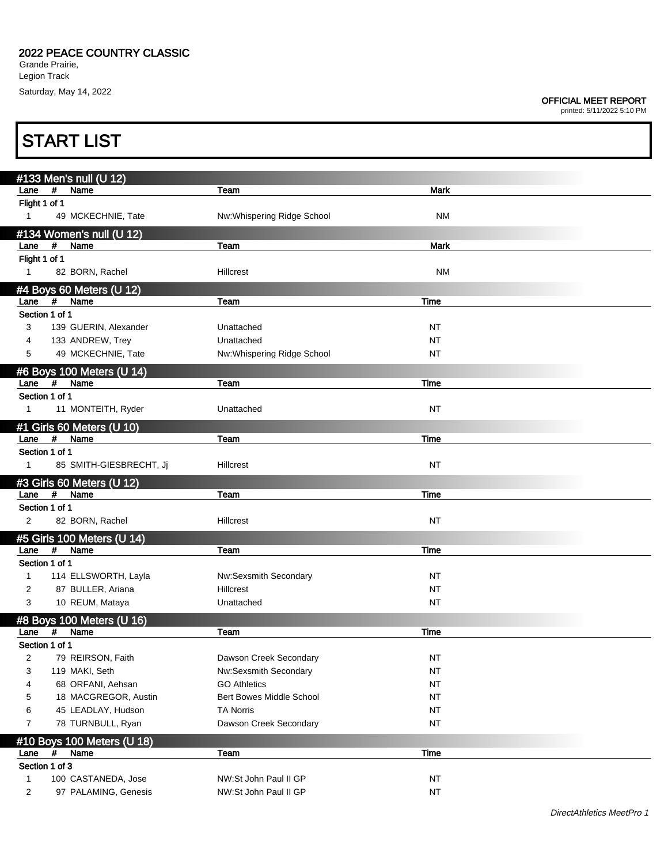## OFFICIAL MEET REPORT

|                | <b>START LIST</b> |                            |                                 |             |  |  |
|----------------|-------------------|----------------------------|---------------------------------|-------------|--|--|
|                |                   | #133 Men's null (U 12)     |                                 |             |  |  |
| Lane           | $\#$              | Name                       | Team                            | Mark        |  |  |
| Flight 1 of 1  |                   |                            |                                 |             |  |  |
| $\mathbf{1}$   |                   | 49 MCKECHNIE, Tate         | Nw: Whispering Ridge School     | <b>NM</b>   |  |  |
|                |                   | #134 Women's null (U 12)   |                                 |             |  |  |
| Lane           | #                 | Name                       | Team                            | Mark        |  |  |
| Flight 1 of 1  |                   |                            |                                 |             |  |  |
| $\mathbf{1}$   |                   | 82 BORN, Rachel            | Hillcrest                       | <b>NM</b>   |  |  |
|                |                   | #4 Boys 60 Meters (U 12)   |                                 |             |  |  |
| Lane           | $\pmb{\#}$        | Name                       | Team                            | <b>Time</b> |  |  |
| Section 1 of 1 |                   |                            |                                 |             |  |  |
| 3              |                   | 139 GUERIN, Alexander      | Unattached                      | NT          |  |  |
| 4              |                   | 133 ANDREW, Trey           | Unattached                      | <b>NT</b>   |  |  |
| 5              |                   | 49 MCKECHNIE, Tate         | Nw: Whispering Ridge School     | NT          |  |  |
|                |                   | #6 Boys 100 Meters (U 14)  |                                 |             |  |  |
| Lane           | #                 | Name                       | Team                            | Time        |  |  |
| Section 1 of 1 |                   |                            |                                 |             |  |  |
| 1              |                   | 11 MONTEITH, Ryder         | Unattached                      | NT          |  |  |
|                |                   | #1 Girls 60 Meters (U 10)  |                                 |             |  |  |
| Lane           | #                 | Name                       | Team                            | Time        |  |  |
| Section 1 of 1 |                   |                            |                                 |             |  |  |
| $\mathbf{1}$   |                   | 85 SMITH-GIESBRECHT, Jj    | Hillcrest                       | <b>NT</b>   |  |  |
|                |                   | #3 Girls 60 Meters (U 12)  |                                 |             |  |  |
| Lane           | #                 | Name                       | Team                            | Time        |  |  |
| Section 1 of 1 |                   |                            |                                 |             |  |  |
| 2              |                   | 82 BORN, Rachel            | Hillcrest                       | <b>NT</b>   |  |  |
|                |                   | #5 Girls 100 Meters (U 14) |                                 |             |  |  |
| Lane           | #                 | Name                       | Team                            | <b>Time</b> |  |  |
| Section 1 of 1 |                   |                            |                                 |             |  |  |
| $\mathbf{1}$   |                   | 114 ELLSWORTH, Layla       | Nw:Sexsmith Secondary           | NT          |  |  |
| 2              |                   | 87 BULLER, Ariana          | Hillcrest                       | <b>NT</b>   |  |  |
| 3              |                   | 10 REUM, Mataya            | Unattached                      | NT          |  |  |
|                |                   | #8 Boys 100 Meters (U 16)  |                                 |             |  |  |
| Lane           | #                 | Name                       | Team                            | Time        |  |  |
| Section 1 of 1 |                   |                            |                                 |             |  |  |
| $\overline{2}$ |                   | 79 REIRSON, Faith          | Dawson Creek Secondary          | <b>NT</b>   |  |  |
| 3              |                   | 119 MAKI, Seth             | Nw:Sexsmith Secondary           | <b>NT</b>   |  |  |
| 4              |                   | 68 ORFANI, Aehsan          | <b>GO Athletics</b>             | <b>NT</b>   |  |  |
| 5              |                   | 18 MACGREGOR, Austin       | <b>Bert Bowes Middle School</b> | <b>NT</b>   |  |  |
| 6              |                   | 45 LEADLAY, Hudson         | <b>TA Norris</b>                | <b>NT</b>   |  |  |
| 7              |                   | 78 TURNBULL, Ryan          | Dawson Creek Secondary          | <b>NT</b>   |  |  |
|                |                   | #10 Boys 100 Meters (U 18) |                                 |             |  |  |
| Lane           | #                 | Name                       | Team                            | Time        |  |  |
| Section 1 of 3 |                   |                            |                                 |             |  |  |
| 1              |                   | 100 CASTANEDA, Jose        | NW:St John Paul II GP           | <b>NT</b>   |  |  |
| $\overline{2}$ |                   | 97 PALAMING, Genesis       | NW:St John Paul II GP           | <b>NT</b>   |  |  |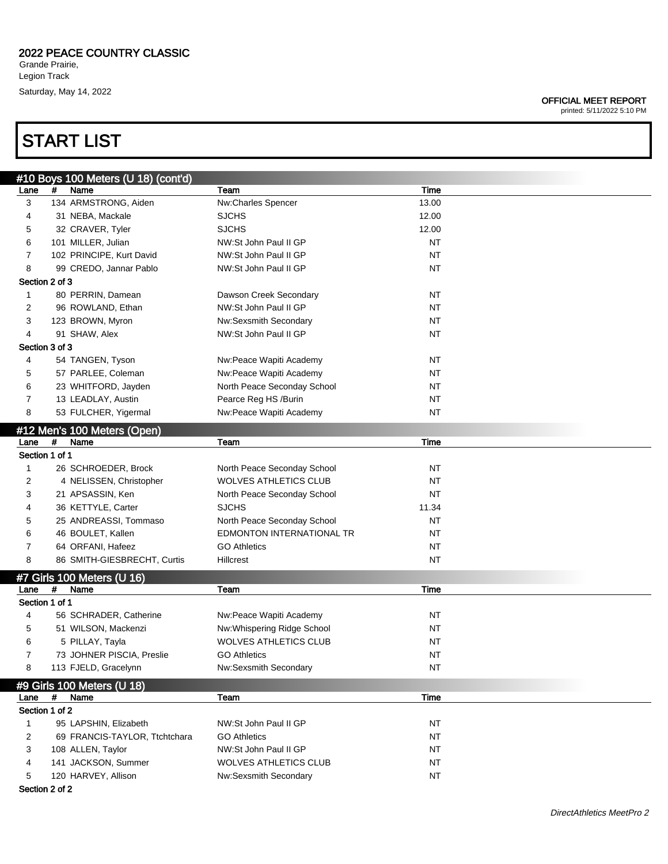# START LIST

OFFICIAL MEET REPORT

|                |   | #10 Boys 100 Meters (U 18) (cont'd)    |                              |             |  |
|----------------|---|----------------------------------------|------------------------------|-------------|--|
| Lane           | # | Name                                   | Team                         | Time        |  |
| 3              |   | 134 ARMSTRONG, Aiden                   | Nw:Charles Spencer           | 13.00       |  |
| 4              |   | 31 NEBA, Mackale                       | <b>SJCHS</b>                 | 12.00       |  |
| 5              |   | 32 CRAVER, Tyler                       | <b>SJCHS</b>                 | 12.00       |  |
| 6              |   | 101 MILLER, Julian                     | NW:St John Paul II GP        | ΝT          |  |
| $\overline{7}$ |   | 102 PRINCIPE, Kurt David               | NW:St John Paul II GP        | <b>NT</b>   |  |
| 8              |   | 99 CREDO, Jannar Pablo                 | NW:St John Paul II GP        | <b>NT</b>   |  |
| Section 2 of 3 |   |                                        |                              |             |  |
| 1              |   | 80 PERRIN, Damean                      | Dawson Creek Secondary       | <b>NT</b>   |  |
| $\overline{c}$ |   | 96 ROWLAND, Ethan                      | NW:St John Paul II GP        | ΝT          |  |
| 3              |   | 123 BROWN, Myron                       | Nw:Sexsmith Secondary        | ΝT          |  |
| 4              |   | 91 SHAW, Alex                          | NW:St John Paul II GP        | <b>NT</b>   |  |
| Section 3 of 3 |   |                                        |                              |             |  |
| 4              |   | 54 TANGEN, Tyson                       | Nw:Peace Wapiti Academy      | ΝT          |  |
| 5              |   | 57 PARLEE, Coleman                     | Nw:Peace Wapiti Academy      | ΝT          |  |
| 6              |   | 23 WHITFORD, Jayden                    | North Peace Seconday School  | ΝT          |  |
| $\overline{7}$ |   | 13 LEADLAY, Austin                     | Pearce Reg HS /Burin         | ΝT          |  |
| 8              |   | 53 FULCHER, Yigermal                   | Nw:Peace Wapiti Academy      | ΝT          |  |
|                |   |                                        |                              |             |  |
| Lane           | # | #12 Men's 100 Meters (Open)<br>Name    | Team                         | Time        |  |
| Section 1 of 1 |   |                                        |                              |             |  |
| 1              |   | 26 SCHROEDER, Brock                    | North Peace Seconday School  | ΝT          |  |
| 2              |   | 4 NELISSEN, Christopher                | <b>WOLVES ATHLETICS CLUB</b> | ΝT          |  |
| 3              |   | 21 APSASSIN, Ken                       | North Peace Seconday School  | ΝT          |  |
| 4              |   | 36 KETTYLE, Carter                     | <b>SJCHS</b>                 | 11.34       |  |
| 5              |   | 25 ANDREASSI, Tommaso                  | North Peace Seconday School  | <b>NT</b>   |  |
| 6              |   |                                        | EDMONTON INTERNATIONAL TR    | ΝT          |  |
|                |   | 46 BOULET, Kallen<br>64 ORFANI, Hafeez | <b>GO Athletics</b>          | ΝT          |  |
| 7<br>8         |   | 86 SMITH-GIESBRECHT, Curtis            | Hillcrest                    | <b>NT</b>   |  |
|                |   |                                        |                              |             |  |
|                |   | #7 Girls 100 Meters (U 16)             |                              |             |  |
| Lane           | # | Name                                   | Team                         | Time        |  |
| Section 1 of 1 |   |                                        |                              |             |  |
| 4              |   | 56 SCHRADER, Catherine                 | Nw:Peace Wapiti Academy      | <b>NT</b>   |  |
| 5              |   | 51 WILSON, Mackenzi                    | Nw:Whispering Ridge School   | ΝT          |  |
| 6              |   | 5 PILLAY, Tayla                        | <b>WOLVES ATHLETICS CLUB</b> | NT          |  |
| 7              |   | 73 JOHNER PISCIA, Preslie              | <b>GO Athletics</b>          | ΝT          |  |
| 8              |   | 113 FJELD, Gracelynn                   | Nw:Sexsmith Secondary        | <b>NT</b>   |  |
|                |   | #9 Girls 100 Meters (U 18)             |                              |             |  |
| Lane           | # | Name                                   | Team                         | <b>Time</b> |  |
| Section 1 of 2 |   |                                        |                              |             |  |
| $\mathbf{1}$   |   | 95 LAPSHIN, Elizabeth                  | NW:St John Paul II GP        | NT          |  |
| $\overline{2}$ |   | 69 FRANCIS-TAYLOR, Ttchtchara          | <b>GO Athletics</b>          | <b>NT</b>   |  |
| 3              |   | 108 ALLEN, Taylor                      | NW:St John Paul II GP        | <b>NT</b>   |  |
| 4              |   | 141 JACKSON, Summer                    | <b>WOLVES ATHLETICS CLUB</b> | <b>NT</b>   |  |
| 5              |   | 120 HARVEY, Allison                    | Nw:Sexsmith Secondary        | NT          |  |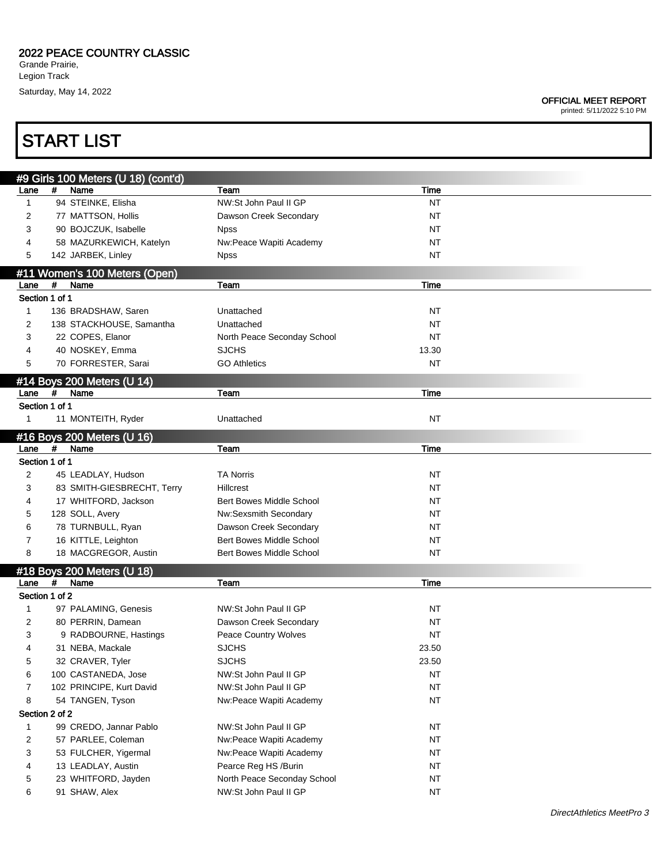## 2022 PEACE COUNTRY CLASSIC

Grande Prairie, Legion Track Saturday, May 14, 2022

# START LIST

|                |   | #9 Girls 100 Meters (U 18) (cont'd)   |                                 |           |
|----------------|---|---------------------------------------|---------------------------------|-----------|
| Lane           | # | Name                                  | Team                            | Time      |
| 1              |   | 94 STEINKE, Elisha                    | NW:St John Paul II GP           | <b>NT</b> |
| 2              |   | 77 MATTSON, Hollis                    | Dawson Creek Secondary          | ΝT        |
| 3              |   | 90 BOJCZUK, Isabelle                  | <b>Npss</b>                     | NT        |
| 4              |   | 58 MAZURKEWICH, Katelyn               | Nw:Peace Wapiti Academy         | NT        |
| 5              |   | 142 JARBEK, Linley                    | <b>Npss</b>                     | NT        |
|                |   |                                       |                                 |           |
| Lane           | # | #11 Women's 100 Meters (Open)<br>Name | Team                            | Time      |
| Section 1 of 1 |   |                                       |                                 |           |
| $\mathbf{1}$   |   | 136 BRADSHAW, Saren                   | Unattached                      | NT        |
| 2              |   | 138 STACKHOUSE, Samantha              | Unattached                      | ΝT        |
| 3              |   | 22 COPES, Elanor                      | North Peace Seconday School     | ΝT        |
| 4              |   | 40 NOSKEY, Emma                       | <b>SJCHS</b>                    | 13.30     |
|                |   |                                       |                                 |           |
| 5              |   | 70 FORRESTER, Sarai                   | <b>GO Athletics</b>             | NT        |
|                |   | #14 Boys 200 Meters (U 14)            |                                 |           |
| Lane           | # | Name                                  | Team                            | Time      |
| Section 1 of 1 |   |                                       |                                 |           |
| $\mathbf{1}$   |   | 11 MONTEITH, Ryder                    | Unattached                      | NT        |
|                |   | #16 Boys 200 Meters (U 16)            |                                 |           |
| Lane           | # | Name                                  | Team                            | Time      |
| Section 1 of 1 |   |                                       |                                 |           |
| 2              |   | 45 LEADLAY, Hudson                    | <b>TA Norris</b>                | NT        |
| 3              |   | 83 SMITH-GIESBRECHT, Terry            | <b>Hillcrest</b>                | ΝT        |
| 4              |   | 17 WHITFORD, Jackson                  | <b>Bert Bowes Middle School</b> | NT        |
| 5              |   | 128 SOLL, Avery                       | Nw:Sexsmith Secondary           | NT        |
| 6              |   | 78 TURNBULL, Ryan                     | Dawson Creek Secondary          | NT        |
| 7              |   | 16 KITTLE, Leighton                   | <b>Bert Bowes Middle School</b> | NT        |
| 8              |   | 18 MACGREGOR, Austin                  | Bert Bowes Middle School        | NT        |
|                |   |                                       |                                 |           |
|                |   | #18 Boys 200 Meters (U 18)            |                                 |           |
| Lane           | # | Name                                  | Team                            | Time      |
| Section 1 of 2 |   |                                       |                                 |           |
| 1              |   | 97 PALAMING, Genesis                  | NW:St John Paul II GP           | NT        |
| 2              |   | 80 PERRIN, Damean                     | Dawson Creek Secondary          | ΝT        |
| 3              |   | 9 RADBOURNE, Hastings                 | <b>Peace Country Wolves</b>     | ΝT        |
|                |   | 31 NEBA, Mackale                      | <b>SJCHS</b>                    | 23.50     |
| 5              |   | 32 CRAVER, Tyler                      | <b>SJCHS</b>                    | 23.50     |
| 6              |   | 100 CASTANEDA, Jose                   | NW:St John Paul II GP           | <b>NT</b> |
| 7              |   | 102 PRINCIPE, Kurt David              | NW:St John Paul II GP           | <b>NT</b> |
| 8              |   | 54 TANGEN, Tyson                      | Nw:Peace Wapiti Academy         | <b>NT</b> |
| Section 2 of 2 |   |                                       |                                 |           |
| $\mathbf{1}$   |   | 99 CREDO, Jannar Pablo                | NW:St John Paul II GP           | NT        |
| 2              |   | 57 PARLEE, Coleman                    | Nw:Peace Wapiti Academy         | <b>NT</b> |
| 3              |   | 53 FULCHER, Yigermal                  | Nw:Peace Wapiti Academy         | <b>NT</b> |
| 4              |   | 13 LEADLAY, Austin                    | Pearce Reg HS /Burin            | <b>NT</b> |
| 5              |   | 23 WHITFORD, Jayden                   | North Peace Seconday School     | <b>NT</b> |
| 6              |   | 91 SHAW, Alex                         | NW:St John Paul II GP           | <b>NT</b> |
|                |   |                                       |                                 |           |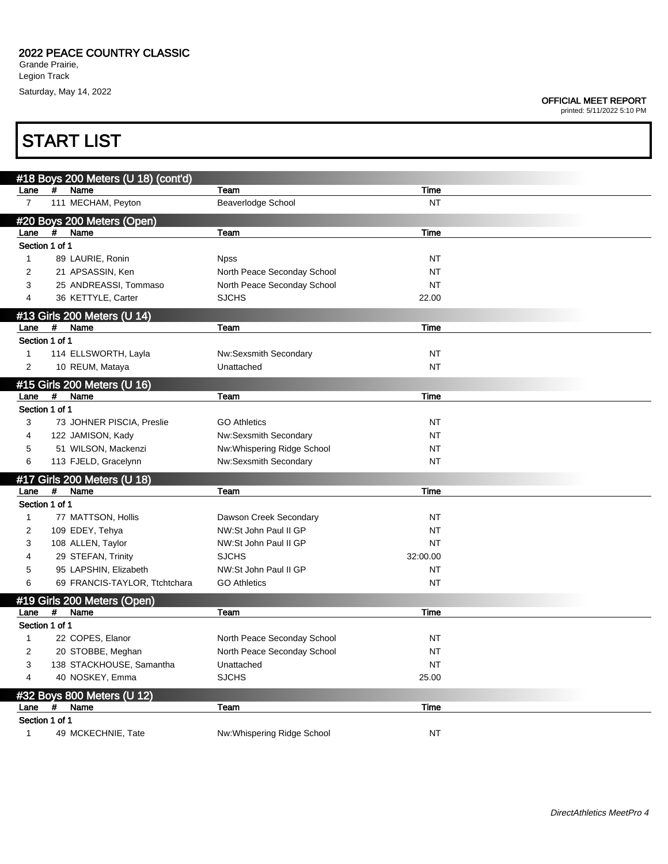## OFFICIAL MEET REPORT

printed: 5/11/2022 5:10 PM

# START LIST

|                             |   | #18 Boys 200 Meters (U 18) (cont'd) |                             |             |  |  |  |
|-----------------------------|---|-------------------------------------|-----------------------------|-------------|--|--|--|
| Lane                        | # | Name                                | Team                        | <b>Time</b> |  |  |  |
| $\overline{7}$              |   | 111 MECHAM, Peyton                  | Beaverlodge School          | <b>NT</b>   |  |  |  |
|                             |   | #20 Boys 200 Meters (Open)          |                             |             |  |  |  |
| Lane                        | # | Name                                | Team                        | <b>Time</b> |  |  |  |
| Section 1 of 1              |   |                                     |                             |             |  |  |  |
| $\mathbf{1}$                |   | 89 LAURIE, Ronin                    | <b>Npss</b>                 | NT          |  |  |  |
| 2                           |   | 21 APSASSIN, Ken                    | North Peace Seconday School | NT          |  |  |  |
| 3                           |   | 25 ANDREASSI, Tommaso               | North Peace Seconday School | <b>NT</b>   |  |  |  |
| 4                           |   | 36 KETTYLE, Carter                  | <b>SJCHS</b>                | 22.00       |  |  |  |
| #13 Girls 200 Meters (U 14) |   |                                     |                             |             |  |  |  |
| Lane                        | # | Name                                | Team                        | <b>Time</b> |  |  |  |
| Section 1 of 1              |   |                                     |                             |             |  |  |  |
| $\mathbf{1}$                |   | 114 ELLSWORTH, Layla                | Nw:Sexsmith Secondary       | NΤ          |  |  |  |
| $\overline{2}$              |   | 10 REUM, Mataya                     | Unattached                  | <b>NT</b>   |  |  |  |
|                             |   |                                     |                             |             |  |  |  |
|                             |   | #15 Girls 200 Meters (U 16)         |                             |             |  |  |  |
| Lane                        | # | Name                                | <b>Team</b>                 | <b>Time</b> |  |  |  |
| Section 1 of 1<br>3         |   |                                     | <b>GO Athletics</b>         | <b>NT</b>   |  |  |  |
|                             |   | 73 JOHNER PISCIA, Preslie           |                             |             |  |  |  |
| 4                           |   | 122 JAMISON, Kady                   | Nw:Sexsmith Secondary       | <b>NT</b>   |  |  |  |
| 5                           |   | 51 WILSON, Mackenzi                 | Nw:Whispering Ridge School  | <b>NT</b>   |  |  |  |
| 6                           |   | 113 FJELD, Gracelynn                | Nw:Sexsmith Secondary       | <b>NT</b>   |  |  |  |
|                             |   | #17 Girls 200 Meters (U 18)         |                             |             |  |  |  |
| Lane                        | # | <b>Name</b>                         | Team                        | Time        |  |  |  |
| Section 1 of 1              |   |                                     |                             |             |  |  |  |
| $\mathbf{1}$                |   | 77 MATTSON, Hollis                  | Dawson Creek Secondary      | <b>NT</b>   |  |  |  |
| $\overline{\mathbf{c}}$     |   | 109 EDEY, Tehya                     | NW:St John Paul II GP       | <b>NT</b>   |  |  |  |
| 3                           |   | 108 ALLEN, Taylor                   | NW:St John Paul II GP       | NT          |  |  |  |
| 4                           |   | 29 STEFAN, Trinity                  | <b>SJCHS</b>                | 32:00.00    |  |  |  |
| 5                           |   | 95 LAPSHIN, Elizabeth               | NW:St John Paul II GP       | NΤ          |  |  |  |
| 6                           |   | 69 FRANCIS-TAYLOR, Ttchtchara       | <b>GO Athletics</b>         | <b>NT</b>   |  |  |  |
|                             |   | #19 Girls 200 Meters (Open)         |                             |             |  |  |  |
| Lane                        | # | Name                                | Team                        | Time        |  |  |  |
| Section 1 of 1              |   |                                     |                             |             |  |  |  |
| 1                           |   | 22 COPES, Elanor                    | North Peace Seconday School | NΤ          |  |  |  |
| $\overline{2}$              |   | 20 STOBBE, Meghan                   | North Peace Seconday School | <b>NT</b>   |  |  |  |
| 3                           |   | 138 STACKHOUSE, Samantha            | Unattached                  | <b>NT</b>   |  |  |  |
| 4                           |   | 40 NOSKEY, Emma                     | <b>SJCHS</b>                | 25.00       |  |  |  |
|                             |   | #32 Boys 800 Meters (U 12)          |                             |             |  |  |  |
| Lane                        | # | Name                                | Team                        | Time        |  |  |  |
| Section 1 of 1              |   |                                     |                             |             |  |  |  |
| $\mathbf{1}$                |   | 49 MCKECHNIE, Tate                  | Nw: Whispering Ridge School | NT          |  |  |  |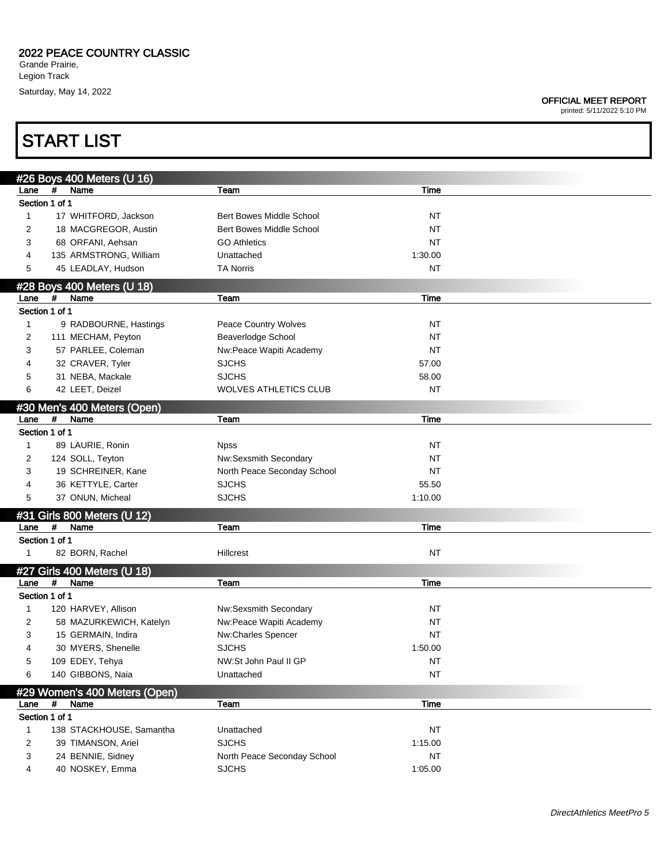## 2022 PEACE COUNTRY CLASSIC

Grande Prairie, Legion Track Saturday, May 14, 2022

## OFFICIAL MEET REPORT

printed: 5/11/2022 5:10 PM

## #26 Boys 400 Meters (U 16) Lane # Name The Team Team Team The Team Time Section 1 of 1 1 17 WHITFORD, Jackson Bert Bowes Middle School NT 2 18 MACGREGOR, Austin Bert Bowes Middle School NT 3 68 ORFANI, Aehsan GO Athletics **CO Athletics** NT 4 135 ARMSTRONG, William Unattached 1:30.00 5 45 LEADLAY, Hudson **TA Norris NT** NT NT NT NT #28 Boys 400 Meters (U 18) Lane # Name The Team Team Team Time Section 1 of 1 1 9 RADBOURNE, Hastings **Peace Country Wolves** NT 2 111 MECHAM, Peyton Beaverlodge School NT 3 57 PARLEE, Coleman Nw:Peace Wapiti Academy NT 4 32 CRAVER, Tyler SJCHS SJCHS 57.00 5 31 NEBA, Mackale SJCHS 58.00 6 42 LEET, Deizel WOLVES ATHLETICS CLUB NT #30 Men's 400 Meters (Open) Lane # Name The Team Team Team Time Section 1 of 1 1 89 LAURIE, Ronin Noss Noss North North New York NT 2 124 SOLL, Teyton **NW:Sexsmith Secondary** 124 SOLL, Teyton 3 19 SCHREINER, Kane North Peace Seconday School NT 4 36 KETTYLE, Carter **55.50** SJCHS 55.50 5 37 ONUN, Micheal SJCHS 1:10.00 #31 Girls 800 Meters (U 12) Lane # Name The Team Team Team The Time Section 1 of 1 1 82 BORN, Rachel **Hillcrest** Hillcrest NT #27 Girls 400 Meters (U 18) Lane # Name Team Time Section 1 of 1 1 120 HARVEY, Allison NW:Sexsmith Secondary NT 2 58 MAZURKEWICH, Katelyn Nw:Peace Wapiti Academy NT 3 15 GERMAIN, Indira **NW:Charles Spencer** NT 4 30 MYERS, Shenelle SJCHS 1:50.00 5 109 EDEY, Tehya NW:St John Paul II GP NT 6 140 GIBBONS, Naia Unattached NT #29 Women's 400 Meters (Open) Lane # Name Team Time Section 1 of 1 1 138 STACKHOUSE, Samantha Unattached NT NT NT 2 39 TIMANSON, Ariel SJCHS 50 SUCHS 1:15.00 3 24 BENNIE, Sidney North Peace Seconday School NT START LIST

4 40 NOSKEY, Emma SJCHS 1:05.00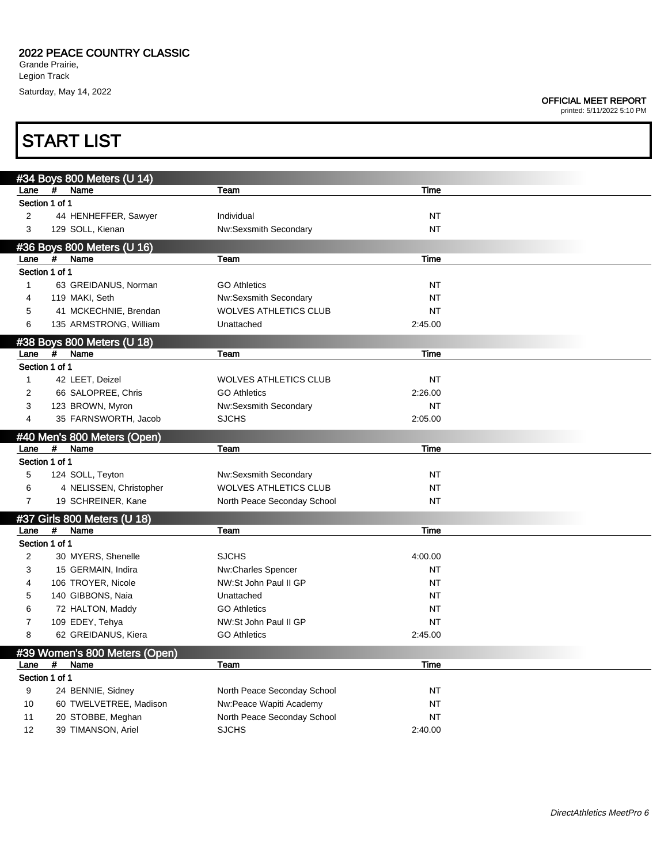**START LIST** 

### OFFICIAL MEET REPORT

|                |      | #34 Boys 800 Meters (U 14)          |                                                       |             |
|----------------|------|-------------------------------------|-------------------------------------------------------|-------------|
| Lane           | $\#$ | Name                                | Team                                                  | Time        |
| Section 1 of 1 |      |                                     |                                                       |             |
| 2              |      | 44 HENHEFFER, Sawyer                | Individual                                            | NT          |
| 3              |      | 129 SOLL, Kienan                    | Nw:Sexsmith Secondary                                 | <b>NT</b>   |
|                |      | #36 Boys 800 Meters (U 16)          |                                                       |             |
| Lane           | #    | Name                                | <b>Team</b>                                           | Time        |
| Section 1 of 1 |      |                                     |                                                       |             |
| 1              |      | 63 GREIDANUS, Norman                | <b>GO Athletics</b>                                   | NT          |
| 4              |      | 119 MAKI, Seth                      |                                                       | <b>NT</b>   |
|                |      | 41 MCKECHNIE, Brendan               | Nw:Sexsmith Secondary<br><b>WOLVES ATHLETICS CLUB</b> | <b>NT</b>   |
| 5              |      |                                     |                                                       |             |
| 6              |      | 135 ARMSTRONG, William              | Unattached                                            | 2:45.00     |
|                |      | #38 Boys 800 Meters (U 18)          |                                                       |             |
| Lane           | $\#$ | Name                                | Team                                                  | <b>Time</b> |
| Section 1 of 1 |      |                                     |                                                       |             |
| 1              |      | 42 LEET, Deizel                     | <b>WOLVES ATHLETICS CLUB</b>                          | <b>NT</b>   |
| 2              |      | 66 SALOPREE, Chris                  | <b>GO Athletics</b>                                   | 2:26.00     |
| 3              |      | 123 BROWN, Myron                    | Nw:Sexsmith Secondary                                 | <b>NT</b>   |
| 4              |      | 35 FARNSWORTH, Jacob                | <b>SJCHS</b>                                          | 2:05.00     |
|                |      |                                     |                                                       |             |
|                |      | #40 Men's 800 Meters (Open)         |                                                       |             |
| Lane           | #    | Name                                | Team                                                  | <b>Time</b> |
| Section 1 of 1 |      |                                     |                                                       |             |
| 5              |      | 124 SOLL, Teyton                    | Nw:Sexsmith Secondary                                 | NT          |
| 6              |      | 4 NELISSEN, Christopher             | <b>WOLVES ATHLETICS CLUB</b>                          | <b>NT</b>   |
| $\overline{7}$ |      | 19 SCHREINER, Kane                  | North Peace Seconday School                           | <b>NT</b>   |
|                |      |                                     |                                                       |             |
|                | #    | #37 Girls 800 Meters (U 18)<br>Name |                                                       |             |
| Lane           |      |                                     | Team                                                  | Time        |
| Section 1 of 1 |      |                                     |                                                       |             |
| $\overline{c}$ |      | 30 MYERS, Shenelle                  | <b>SJCHS</b>                                          | 4:00.00     |
| 3              |      | 15 GERMAIN, Indira                  | Nw:Charles Spencer                                    | NT          |
| 4              |      | 106 TROYER, Nicole                  | NW:St John Paul II GP                                 | NT          |
| 5              |      | 140 GIBBONS, Naia                   | Unattached                                            | NT          |
| 6              |      | 72 HALTON, Maddy                    | <b>GO Athletics</b>                                   | NT          |
| 7              |      | 109 EDEY, Tehya                     | NW:St John Paul II GP                                 | NT          |
| 8              |      | 62 GREIDANUS, Kiera                 | <b>GO Athletics</b>                                   | 2:45.00     |
|                |      |                                     |                                                       |             |
|                |      | #39 Women's 800 Meters (Open)       |                                                       |             |
| Lane           | #    | Name                                | Team                                                  | Time        |
| Section 1 of 1 |      |                                     |                                                       |             |
| 9              |      | 24 BENNIE, Sidney                   | North Peace Seconday School                           | <b>NT</b>   |
| 10             |      | 60 TWELVETREE, Madison              | Nw:Peace Wapiti Academy                               | <b>NT</b>   |
| 11             |      | 20 STOBBE, Meghan                   | North Peace Seconday School                           | <b>NT</b>   |
| 12             |      | 39 TIMANSON, Ariel                  | <b>SJCHS</b>                                          | 2:40.00     |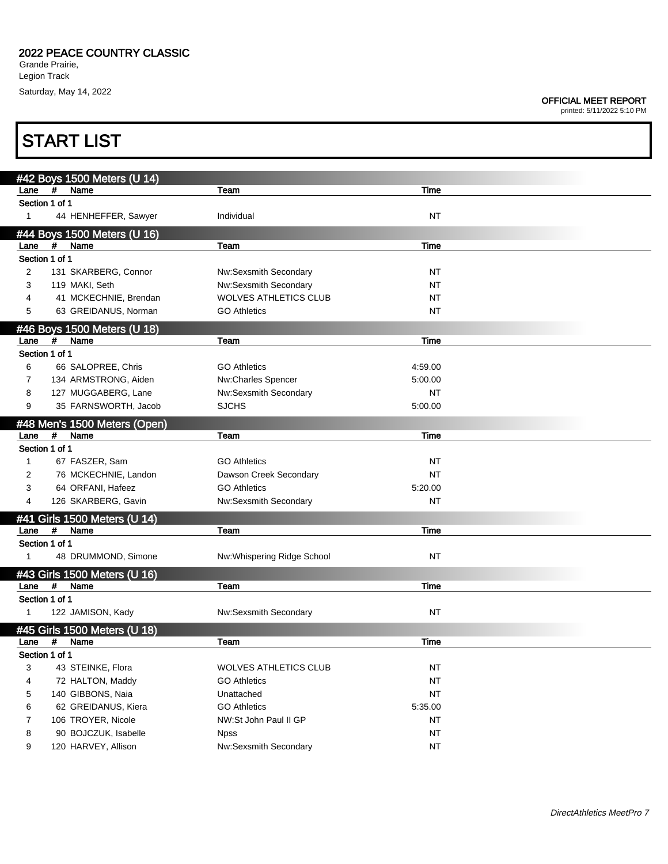## OFFICIAL MEET REPORT

|                |            | <b>START LIST</b>                           |                                      |                 |
|----------------|------------|---------------------------------------------|--------------------------------------|-----------------|
|                |            |                                             |                                      |                 |
| Lane           | #          | #42 Boys 1500 Meters (U 14)<br>Name         | Team                                 | Time            |
| Section 1 of 1 |            |                                             |                                      |                 |
| $\mathbf{1}$   |            | 44 HENHEFFER, Sawyer                        | Individual                           | NT              |
|                |            | #44 Boys 1500 Meters (U 16)                 |                                      |                 |
| Lane           | #          | Name                                        | Team                                 | Time            |
| Section 1 of 1 |            |                                             |                                      |                 |
| 2              |            | 131 SKARBERG, Connor                        | Nw:Sexsmith Secondary                | NT              |
| 3              |            | 119 MAKI, Seth                              | Nw:Sexsmith Secondary                | NT              |
| 4              |            | 41 MCKECHNIE, Brendan                       | <b>WOLVES ATHLETICS CLUB</b>         | NT              |
| 5              |            | 63 GREIDANUS, Norman                        | <b>GO Athletics</b>                  | NT              |
|                |            | #46 Boys 1500 Meters (U 18)                 |                                      |                 |
| Lane           | #          | Name                                        | Team                                 | Time            |
| Section 1 of 1 |            |                                             |                                      |                 |
| 6              |            | 66 SALOPREE, Chris                          | <b>GO Athletics</b>                  | 4:59.00         |
| $\overline{7}$ |            | 134 ARMSTRONG, Aiden                        | Nw:Charles Spencer                   | 5:00.00         |
| 8              |            | 127 MUGGABERG, Lane                         | Nw:Sexsmith Secondary                | NT              |
| 9              |            | 35 FARNSWORTH, Jacob                        | <b>SJCHS</b>                         | 5:00.00         |
|                |            | #48 Men's 1500 Meters (Open)                |                                      |                 |
| Lane           | #          | Name                                        | Team                                 | Time            |
| Section 1 of 1 |            |                                             |                                      |                 |
| $\mathbf{1}$   |            | 67 FASZER, Sam                              | <b>GO Athletics</b>                  | NT              |
| 2              |            | 76 MCKECHNIE, Landon                        | Dawson Creek Secondary               | <b>NT</b>       |
| 3              |            | 64 ORFANI, Hafeez                           | <b>GO Athletics</b>                  | 5:20.00         |
| 4              |            | 126 SKARBERG, Gavin                         | Nw:Sexsmith Secondary                | NT              |
|                |            | #41 Girls 1500 Meters (U 14)                |                                      |                 |
| Lane           | #          | Name                                        | Team                                 | Time            |
| Section 1 of 1 |            |                                             |                                      |                 |
| 1              |            | 48 DRUMMOND, Simone                         | Nw:Whispering Ridge School           | NT              |
|                |            | #43 Girls 1500 Meters (U 16)                |                                      |                 |
| Lane           | #          | Name                                        | Team                                 | Time            |
| Section 1 of 1 |            |                                             |                                      |                 |
| 1              |            | 122 JAMISON, Kady                           | Nw:Sexsmith Secondary                | NT              |
|                |            | #45 Girls 1500 Meters (U 18)                |                                      |                 |
| Lane           | $\pmb{\#}$ | Name                                        | Team                                 | <b>Time</b>     |
| Section 1 of 1 |            |                                             |                                      |                 |
| 3              |            | 43 STEINKE, Flora                           | <b>WOLVES ATHLETICS CLUB</b>         | <b>NT</b>       |
| 4              |            | 72 HALTON, Maddy                            | <b>GO Athletics</b>                  | <b>NT</b>       |
| 5              |            | 140 GIBBONS, Naia                           | Unattached                           | NT              |
| 6              |            | 62 GREIDANUS, Kiera                         | <b>GO Athletics</b>                  | 5:35.00         |
| $\overline{7}$ |            | 106 TROYER, Nicole                          | NW:St John Paul II GP                | NT              |
| 8<br>9         |            | 90 BOJCZUK, Isabelle<br>120 HARVEY, Allison | <b>Npss</b><br>Nw:Sexsmith Secondary | NT<br><b>NT</b> |
|                |            |                                             |                                      |                 |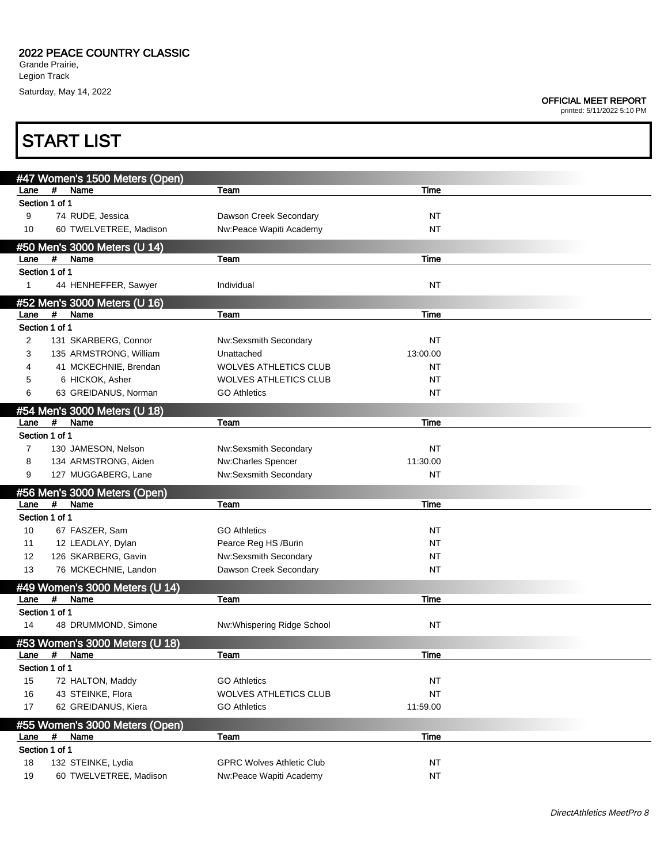### OFFICIAL MEET REPORT

| <b>START LIST</b> |                                             |                                  |             |  |
|-------------------|---------------------------------------------|----------------------------------|-------------|--|
|                   | #47 Women's 1500 Meters (Open)              |                                  |             |  |
| Lane              | #<br>Name                                   | Team                             | <b>Time</b> |  |
|                   | Section 1 of 1                              |                                  |             |  |
| 9                 | 74 RUDE, Jessica                            | Dawson Creek Secondary           | NT          |  |
| 10                | 60 TWELVETREE, Madison                      | Nw:Peace Wapiti Academy          | <b>NT</b>   |  |
|                   | #50 Men's 3000 Meters (U 14)                |                                  |             |  |
| Lane              | #<br>Name                                   | Team                             | Time        |  |
|                   | Section 1 of 1                              |                                  |             |  |
| 1                 | 44 HENHEFFER, Sawyer                        | Individual                       | <b>NT</b>   |  |
|                   | #52 Men's 3000 Meters (U 16)                |                                  |             |  |
| Lane              | #<br>Name                                   | Team                             | Time        |  |
|                   | Section 1 of 1                              |                                  |             |  |
| 2                 | 131 SKARBERG, Connor                        | Nw:Sexsmith Secondary            | NT          |  |
| 3                 | 135 ARMSTRONG, William                      | Unattached                       | 13:00.00    |  |
| 4                 | 41 MCKECHNIE, Brendan                       | <b>WOLVES ATHLETICS CLUB</b>     | NT          |  |
| 5                 | 6 HICKOK, Asher                             | <b>WOLVES ATHLETICS CLUB</b>     | <b>NT</b>   |  |
| 6                 | 63 GREIDANUS, Norman                        | <b>GO Athletics</b>              | NT          |  |
|                   |                                             |                                  |             |  |
|                   | #54 Men's 3000 Meters (U 18)                |                                  |             |  |
| Lane              | #<br>Name                                   | Team                             | Time        |  |
|                   | Section 1 of 1                              |                                  |             |  |
| $\overline{7}$    | 130 JAMESON, Nelson                         | Nw:Sexsmith Secondary            | NT          |  |
| 8                 | 134 ARMSTRONG, Aiden                        | Nw:Charles Spencer               | 11:30.00    |  |
| 9                 | 127 MUGGABERG, Lane                         | Nw:Sexsmith Secondary            | <b>NT</b>   |  |
|                   | #56 Men's 3000 Meters (Open)                |                                  |             |  |
| Lane              | #<br>Name                                   | Team                             | Time        |  |
|                   | Section 1 of 1                              |                                  |             |  |
| 10                | 67 FASZER, Sam                              | <b>GO Athletics</b>              | NT          |  |
| 11                | 12 LEADLAY, Dylan                           | Pearce Reg HS /Burin             | NT          |  |
| 12                | 126 SKARBERG, Gavin                         | Nw:Sexsmith Secondary            | NT          |  |
| 13                | 76 MCKECHNIE, Landon                        | Dawson Creek Secondary           | NT          |  |
|                   | #49 Women's 3000 Meters (U 14)              |                                  |             |  |
| Lane              | #<br>Name                                   | Team                             | Time        |  |
|                   | Section 1 of 1                              |                                  |             |  |
| 14                | 48 DRUMMOND, Simone                         | Nw:Whispering Ridge School       | <b>NT</b>   |  |
|                   |                                             |                                  |             |  |
| Lane              | #53 Women's 3000 Meters (U 18)<br>#<br>Name | Team                             | Time        |  |
|                   | Section 1 of 1                              |                                  |             |  |
| 15                |                                             | <b>GO Athletics</b>              | NT          |  |
|                   | 72 HALTON, Maddy                            | <b>WOLVES ATHLETICS CLUB</b>     | <b>NT</b>   |  |
| 16                | 43 STEINKE, Flora                           |                                  |             |  |
| 17                | 62 GREIDANUS, Kiera                         | <b>GO Athletics</b>              | 11:59.00    |  |
|                   | #55 Women's 3000 Meters (Open)              |                                  |             |  |
| Lane              | #<br>Name                                   | Team                             | Time        |  |
|                   | Section 1 of 1                              |                                  |             |  |
| $18$              | 132 STEINKE, Lydia                          | <b>GPRC Wolves Athletic Club</b> | NT          |  |
| 19                | 60 TWELVETREE, Madison                      | Nw:Peace Wapiti Academy          | <b>NT</b>   |  |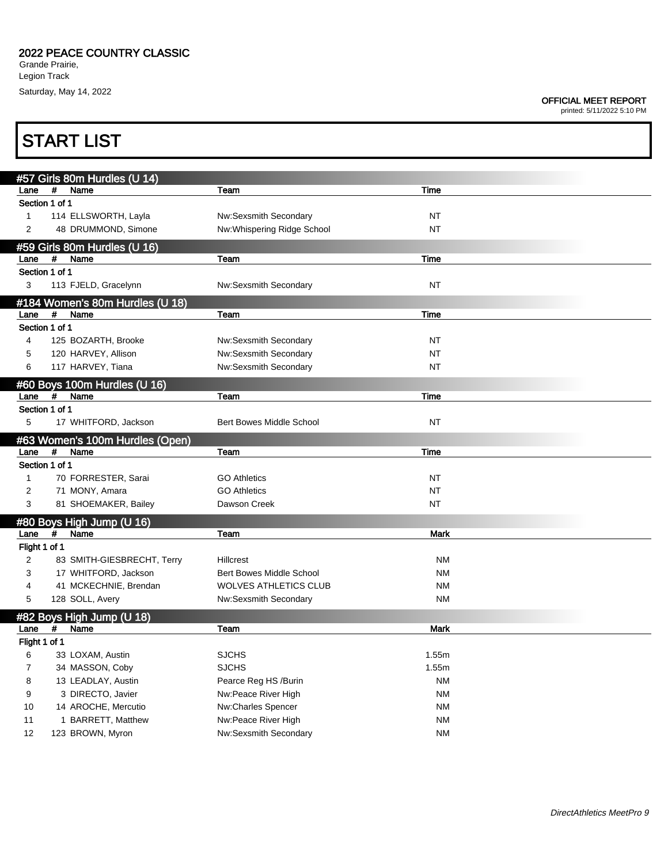### OFFICIAL MEET REPORT

|               | <b>START LIST</b>                            |                                                |                                 |             |  |  |  |
|---------------|----------------------------------------------|------------------------------------------------|---------------------------------|-------------|--|--|--|
|               |                                              |                                                |                                 |             |  |  |  |
| Lane          | #57 Girls 80m Hurdles (U 14)<br>#<br>Name    | Team                                           | Time                            |             |  |  |  |
|               | Section 1 of 1                               |                                                |                                 |             |  |  |  |
| 1             | 114 ELLSWORTH, Layla                         |                                                | Nw:Sexsmith Secondary           | NT          |  |  |  |
| 2             | 48 DRUMMOND, Simone                          |                                                | Nw:Whispering Ridge School      | NT          |  |  |  |
|               |                                              |                                                |                                 |             |  |  |  |
| Lane          | #59 Girls 80m Hurdles (U 16)<br>#<br>Name    | Team                                           | Time                            |             |  |  |  |
|               | Section 1 of 1                               |                                                |                                 |             |  |  |  |
| 3             | 113 FJELD, Gracelynn                         |                                                | Nw:Sexsmith Secondary           | NT          |  |  |  |
|               |                                              |                                                |                                 |             |  |  |  |
| Lane          | #184 Women's 80m Hurdles (U 18)<br>#<br>Name | Team                                           | Time                            |             |  |  |  |
|               | Section 1 of 1                               |                                                |                                 |             |  |  |  |
| 4             | 125 BOZARTH, Brooke                          |                                                | Nw:Sexsmith Secondary           | NT          |  |  |  |
| 5             | 120 HARVEY, Allison                          |                                                | Nw:Sexsmith Secondary           | NT          |  |  |  |
| 6             | 117 HARVEY, Tiana                            |                                                | Nw:Sexsmith Secondary           | NT          |  |  |  |
|               |                                              |                                                |                                 |             |  |  |  |
| Lane          | #60 Boys 100m Hurdles (U 16)<br>Name<br>#    | Team                                           | Time                            |             |  |  |  |
|               | Section 1 of 1                               |                                                |                                 |             |  |  |  |
| 5             | 17 WHITFORD, Jackson                         |                                                | <b>Bert Bowes Middle School</b> | NT          |  |  |  |
|               |                                              | #63 Women's 100m Hurdles (Open)                |                                 |             |  |  |  |
| Lane          | #<br>Name                                    | Team                                           | Time                            |             |  |  |  |
|               | Section 1 of 1                               |                                                |                                 |             |  |  |  |
| $\mathbf{1}$  | 70 FORRESTER, Sarai                          |                                                | <b>GO Athletics</b>             | NT          |  |  |  |
| 2             | 71 MONY, Amara                               |                                                | <b>GO Athletics</b>             | NT          |  |  |  |
| 3             | 81 SHOEMAKER, Bailey                         |                                                | Dawson Creek                    | NT          |  |  |  |
|               | #80 Boys High Jump (U 16)                    |                                                |                                 |             |  |  |  |
| Lane          | #<br>Name                                    | Team                                           |                                 | <b>Mark</b> |  |  |  |
| Flight 1 of 1 |                                              |                                                |                                 |             |  |  |  |
| 2             |                                              | 83 SMITH-GIESBRECHT, Terry<br><b>Hillcrest</b> |                                 | <b>NM</b>   |  |  |  |
| 3             | 17 WHITFORD, Jackson                         |                                                | Bert Bowes Middle School        | <b>NM</b>   |  |  |  |
| 4             | 41 MCKECHNIE, Brendan                        |                                                | <b>WOLVES ATHLETICS CLUB</b>    | <b>NM</b>   |  |  |  |
| 5             | 128 SOLL, Avery                              |                                                | Nw:Sexsmith Secondary           | <b>NM</b>   |  |  |  |
|               | #82 Boys High Jump (U 18)                    |                                                |                                 |             |  |  |  |
| Lane          | Name<br>#                                    | Team                                           |                                 | Mark        |  |  |  |
| Flight 1 of 1 |                                              |                                                |                                 |             |  |  |  |
| 6             | 33 LOXAM, Austin                             | <b>SJCHS</b>                                   |                                 | 1.55m       |  |  |  |
| 7             | 34 MASSON, Coby                              | <b>SJCHS</b>                                   |                                 | 1.55m       |  |  |  |
| 8             | 13 LEADLAY, Austin                           |                                                | Pearce Reg HS /Burin            | <b>NM</b>   |  |  |  |
| 9             | 3 DIRECTO, Javier                            |                                                | Nw:Peace River High             | <b>NM</b>   |  |  |  |
| 10            | 14 AROCHE, Mercutio                          |                                                | Nw:Charles Spencer              | <b>NM</b>   |  |  |  |
| 11            | 1 BARRETT, Matthew                           |                                                | Nw:Peace River High             | <b>NM</b>   |  |  |  |
| 12            | 123 BROWN, Myron                             |                                                | Nw:Sexsmith Secondary           | <b>NM</b>   |  |  |  |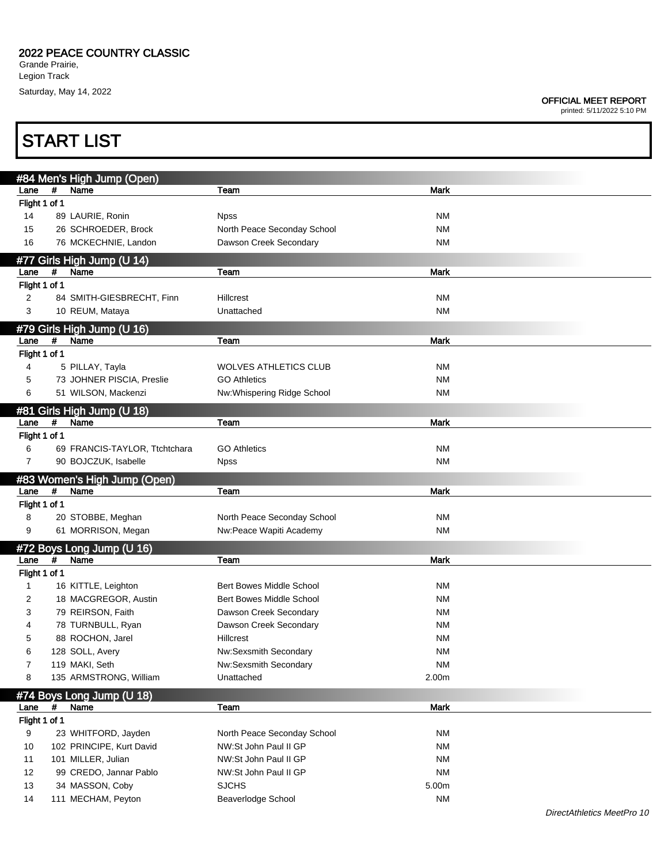**START LIST** 

## OFFICIAL MEET REPORT

|                       | #84 Men's High Jump (Open)<br>#              |                                    | <b>Mark</b>        |
|-----------------------|----------------------------------------------|------------------------------------|--------------------|
| Lane<br>Flight 1 of 1 | Name                                         | Team                               |                    |
| 14                    | 89 LAURIE, Ronin                             | <b>Npss</b>                        | <b>NM</b>          |
| 15                    | 26 SCHROEDER, Brock                          | North Peace Seconday School        | <b>NM</b>          |
| 16                    | 76 MCKECHNIE, Landon                         | Dawson Creek Secondary             | <b>NM</b>          |
|                       |                                              |                                    |                    |
|                       | #77 Girls High Jump (U 14)                   |                                    |                    |
| Lane                  | #<br>Name                                    | Team                               | Mark               |
| Flight 1 of 1         |                                              |                                    |                    |
| 2<br>3                | 84 SMITH-GIESBRECHT, Finn<br>10 REUM, Mataya | Hillcrest                          | <b>NM</b><br>NM    |
|                       |                                              | Unattached                         |                    |
|                       | #79 Girls High Jump (U 16)                   |                                    |                    |
| Lane                  | #<br>Name                                    | Team                               | <b>Mark</b>        |
| Flight 1 of 1         |                                              |                                    |                    |
| 4                     | 5 PILLAY, Tayla                              | <b>WOLVES ATHLETICS CLUB</b>       | ΝM                 |
| 5                     | 73 JOHNER PISCIA, Preslie                    | <b>GO Athletics</b>                | <b>NM</b>          |
| 6                     | 51 WILSON, Mackenzi                          | Nw:Whispering Ridge School         | <b>NM</b>          |
|                       | #81 Girls High Jump (U 18)                   |                                    |                    |
| Lane                  | #<br>Name                                    | Team                               | Mark               |
| Flight 1 of 1         |                                              |                                    |                    |
| 6                     | 69 FRANCIS-TAYLOR, Ttchtchara                | <b>GO Athletics</b>                | <b>NM</b>          |
| 7                     | 90 BOJCZUK, Isabelle                         | <b>Npss</b>                        | <b>NM</b>          |
|                       | #83 Women's High Jump (Open)                 |                                    |                    |
| Lane                  | #<br>Name                                    | Team                               | <b>Mark</b>        |
| Flight 1 of 1         |                                              |                                    |                    |
| 8                     | 20 STOBBE, Meghan                            | North Peace Seconday School        | <b>NM</b>          |
| 9                     | 61 MORRISON, Megan                           | Nw:Peace Wapiti Academy            | <b>NM</b>          |
|                       | #72 Boys Long Jump (U 16)                    |                                    |                    |
| Lane                  | Name<br>#                                    | Team                               | <b>Mark</b>        |
| Flight 1 of 1         |                                              |                                    |                    |
| 1                     | 16 KITTLE, Leighton                          | Bert Bowes Middle School           | ΝM                 |
| 2                     | 18 MACGREGOR, Austin                         | Bert Bowes Middle School           | <b>NM</b>          |
| 3                     | 79 REIRSON, Faith                            | Dawson Creek Secondary             | ΝM                 |
| 4                     | 78 TURNBULL, Ryan                            | Dawson Creek Secondary             | ΝM                 |
|                       | 88 ROCHON, Jarel                             | Hillcrest                          | <b>NM</b>          |
| 6                     | 128 SOLL, Avery                              | Nw:Sexsmith Secondary              | <b>NM</b>          |
| 7                     | 119 MAKI, Seth                               | Nw:Sexsmith Secondary              | <b>NM</b>          |
| 8                     | 135 ARMSTRONG, William                       | Unattached                         | 2.00m              |
|                       | #74 Boys Long Jump (U 18)                    |                                    |                    |
| Lane                  | #<br>Name                                    | Team                               | <b>Mark</b>        |
| Flight 1 of 1         |                                              |                                    |                    |
| 9                     | 23 WHITFORD, Jayden                          | North Peace Seconday School        | <b>NM</b>          |
| 10                    | 102 PRINCIPE, Kurt David                     | NW:St John Paul II GP              | <b>NM</b>          |
| 11                    | 101 MILLER, Julian                           | NW:St John Paul II GP              | <b>NM</b>          |
| 12                    | 99 CREDO, Jannar Pablo                       | NW:St John Paul II GP              | <b>NM</b>          |
|                       |                                              |                                    |                    |
| 13<br>14              | 34 MASSON, Coby<br>111 MECHAM, Peyton        | <b>SJCHS</b><br>Beaverlodge School | 5.00m<br><b>NM</b> |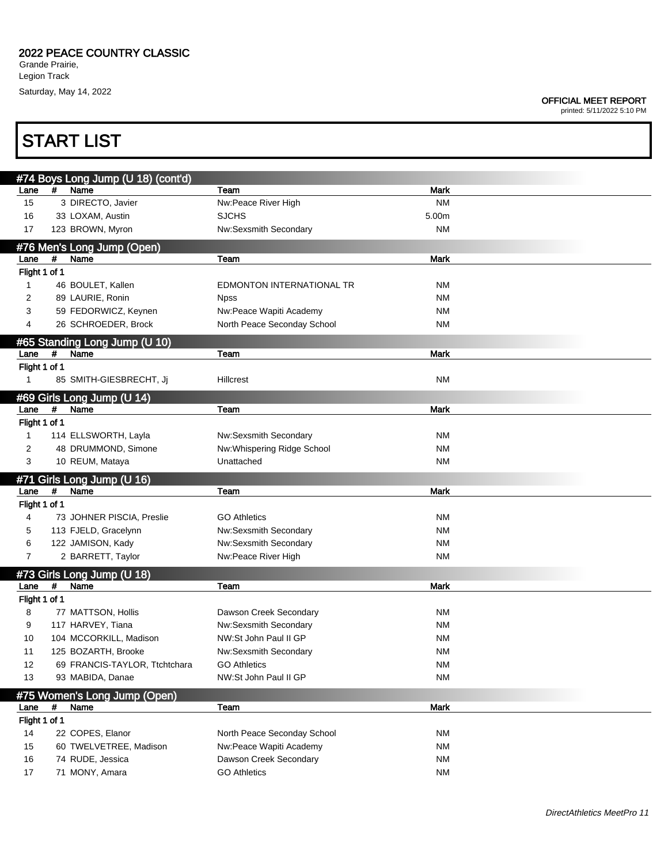## OFFICIAL MEET REPORT

| <b>START LIST</b>     |                                                  |                                                |             |  |  |
|-----------------------|--------------------------------------------------|------------------------------------------------|-------------|--|--|
|                       | #74 Boys Long Jump (U 18) (cont'd)               |                                                |             |  |  |
| Lane                  | Name<br>#                                        | Team                                           | Mark        |  |  |
| 15                    | 3 DIRECTO, Javier                                | Nw:Peace River High                            | <b>NM</b>   |  |  |
| 16                    | 33 LOXAM, Austin                                 | <b>SJCHS</b>                                   | 5.00m       |  |  |
| 17                    | 123 BROWN, Myron                                 | Nw:Sexsmith Secondary                          | <b>NM</b>   |  |  |
|                       | #76 Men's Long Jump (Open)                       |                                                |             |  |  |
| Lane                  | #<br>Name                                        | Team                                           | <b>Mark</b> |  |  |
| Flight 1 of 1         |                                                  |                                                |             |  |  |
| $\mathbf{1}$          | 46 BOULET, Kallen                                | <b>EDMONTON INTERNATIONAL TR</b>               | <b>NM</b>   |  |  |
| 2                     | 89 LAURIE, Ronin                                 | <b>Npss</b>                                    | <b>NM</b>   |  |  |
| 3                     | 59 FEDORWICZ, Keynen                             | Nw:Peace Wapiti Academy                        | <b>NM</b>   |  |  |
| 4                     | 26 SCHROEDER, Brock                              | North Peace Seconday School                    | <b>NM</b>   |  |  |
|                       | #65 Standing Long Jump (U 10)                    |                                                |             |  |  |
| Lane                  | #<br>Name                                        | Team                                           | <b>Mark</b> |  |  |
| Flight 1 of 1         |                                                  |                                                |             |  |  |
| 1                     | 85 SMITH-GIESBRECHT, Jj                          | Hillcrest                                      | NM          |  |  |
|                       |                                                  |                                                |             |  |  |
| Lane                  | #69 Girls Long Jump (U 14)<br>$\pmb{\#}$<br>Name | Team                                           | <b>Mark</b> |  |  |
| Flight 1 of 1         |                                                  |                                                |             |  |  |
| $\mathbf{1}$          | 114 ELLSWORTH, Layla                             | Nw:Sexsmith Secondary                          | <b>NM</b>   |  |  |
| 2                     | 48 DRUMMOND, Simone                              | Nw:Whispering Ridge School                     | <b>NM</b>   |  |  |
| 3                     | 10 REUM, Mataya                                  | Unattached                                     | <b>NM</b>   |  |  |
|                       |                                                  |                                                |             |  |  |
|                       | #71 Girls Long Jump (U 16)                       |                                                |             |  |  |
| Lane<br>Flight 1 of 1 | $\#$<br>Name                                     | Team                                           | <b>Mark</b> |  |  |
| 4                     | 73 JOHNER PISCIA, Preslie                        | <b>GO Athletics</b>                            | ΝM          |  |  |
| 5                     |                                                  |                                                | <b>NM</b>   |  |  |
| 6                     | 113 FJELD, Gracelynn<br>122 JAMISON, Kady        | Nw:Sexsmith Secondary<br>Nw:Sexsmith Secondary | <b>NM</b>   |  |  |
| 7                     | 2 BARRETT, Taylor                                | Nw:Peace River High                            | <b>NM</b>   |  |  |
|                       |                                                  |                                                |             |  |  |
|                       | #73 Girls Long Jump (U 18)                       |                                                |             |  |  |
| Lane                  | #<br>Name                                        | Team                                           | <b>Mark</b> |  |  |
| Flight 1 of 1         |                                                  |                                                |             |  |  |
| 8                     | 77 MATTSON, Hollis                               | Dawson Creek Secondary                         | <b>NM</b>   |  |  |
| 9                     | 117 HARVEY, Tiana                                | Nw:Sexsmith Secondary                          | <b>NM</b>   |  |  |
| 10                    | 104 MCCORKILL, Madison                           | NW:St John Paul II GP                          | <b>NM</b>   |  |  |
| 11                    | 125 BOZARTH, Brooke                              | Nw:Sexsmith Secondary                          | <b>NM</b>   |  |  |
| 12                    | 69 FRANCIS-TAYLOR, Ttchtchara                    | <b>GO Athletics</b>                            | <b>NM</b>   |  |  |
| 13                    | 93 MABIDA, Danae                                 | NW:St John Paul II GP                          | <b>NM</b>   |  |  |
|                       | #75 Women's Long Jump (Open)                     |                                                |             |  |  |
| Lane                  | #<br>Name                                        | Team                                           | Mark        |  |  |
| Flight 1 of 1         |                                                  |                                                |             |  |  |
|                       |                                                  |                                                |             |  |  |
| 14                    | 22 COPES, Elanor                                 | North Peace Seconday School                    | ΝM          |  |  |
| 15                    | 60 TWELVETREE, Madison                           | Nw:Peace Wapiti Academy                        | <b>NM</b>   |  |  |
| 16                    | 74 RUDE, Jessica                                 | Dawson Creek Secondary                         | <b>NM</b>   |  |  |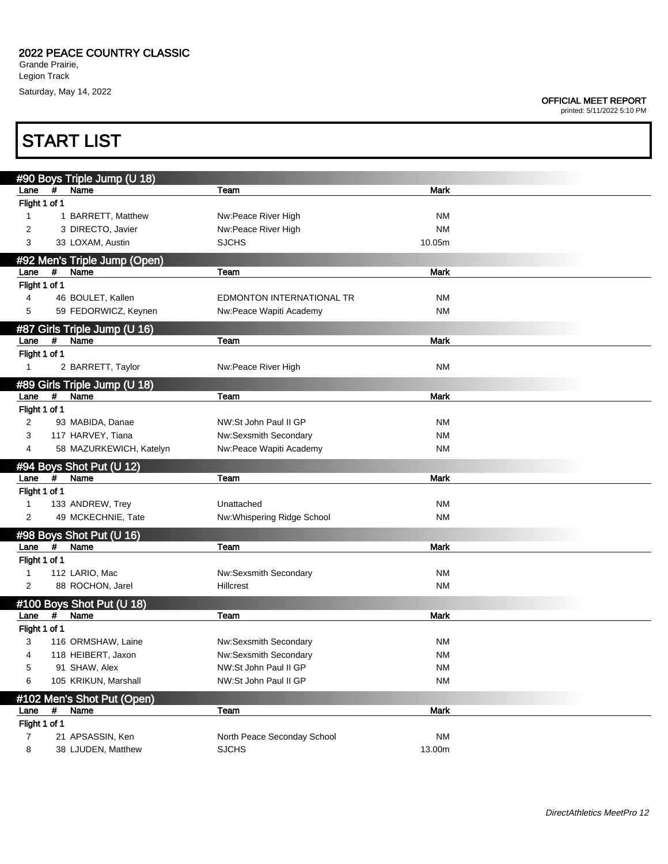**START LIST** 

## OFFICIAL MEET REPORT

|                       |             | #90 Boys Triple Jump (U 18)          |                             |             |  |
|-----------------------|-------------|--------------------------------------|-----------------------------|-------------|--|
| Lane                  | $\#$        | Name                                 | Team                        | <b>Mark</b> |  |
| Flight 1 of 1         |             |                                      |                             |             |  |
| 1                     |             | 1 BARRETT, Matthew                   | Nw:Peace River High         | NM          |  |
| 2                     |             | 3 DIRECTO, Javier                    | Nw:Peace River High         | <b>NM</b>   |  |
| 3                     |             | 33 LOXAM, Austin                     | <b>SJCHS</b>                | 10.05m      |  |
|                       |             |                                      |                             |             |  |
| Lane                  | #           | #92 Men's Triple Jump (Open)<br>Name | Team                        | <b>Mark</b> |  |
| Flight 1 of 1         |             |                                      |                             |             |  |
| 4                     |             | 46 BOULET, Kallen                    | EDMONTON INTERNATIONAL TR   | <b>NM</b>   |  |
| 5                     |             | 59 FEDORWICZ, Keynen                 | Nw:Peace Wapiti Academy     | <b>NM</b>   |  |
|                       |             |                                      |                             |             |  |
|                       | #           | #87 Girls Triple Jump (U 16)<br>Name | Team                        | <b>Mark</b> |  |
| Lane<br>Flight 1 of 1 |             |                                      |                             |             |  |
| 1                     |             | 2 BARRETT, Taylor                    | Nw:Peace River High         | <b>NM</b>   |  |
|                       |             |                                      |                             |             |  |
|                       |             | #89 Girls Triple Jump (U 18)         |                             |             |  |
| Lane                  | $\pmb{\mu}$ | Name                                 | Team                        | <b>Mark</b> |  |
| Flight 1 of 1         |             |                                      |                             |             |  |
| 2                     |             | 93 MABIDA, Danae                     | NW:St John Paul II GP       | NM          |  |
| 3                     |             | 117 HARVEY, Tiana                    | Nw:Sexsmith Secondary       | <b>NM</b>   |  |
| 4                     |             | 58 MAZURKEWICH, Katelyn              | Nw:Peace Wapiti Academy     | <b>NM</b>   |  |
|                       |             | #94 Boys Shot Put (U 12)             |                             |             |  |
| Lane                  | #           | Name                                 | Team                        | <b>Mark</b> |  |
| Flight 1 of 1         |             |                                      |                             |             |  |
| $\mathbf{1}$          |             | 133 ANDREW, Trey                     | Unattached                  | <b>NM</b>   |  |
| 2                     |             | 49 MCKECHNIE, Tate                   | Nw:Whispering Ridge School  | <b>NM</b>   |  |
|                       |             | #98 Boys Shot Put (U 16)             |                             |             |  |
| Lane                  | #           | Name                                 | Team                        | <b>Mark</b> |  |
| Flight 1 of 1         |             |                                      |                             |             |  |
| 1                     |             | 112 LARIO, Mac                       | Nw:Sexsmith Secondary       | <b>NM</b>   |  |
| 2                     |             | 88 ROCHON, Jarel                     | <b>Hillcrest</b>            | <b>NM</b>   |  |
|                       |             | #100 Boys Shot Put (U 18)            |                             |             |  |
| Lane                  | $\pmb{\mu}$ | Name                                 | Team                        | Mark        |  |
| Flight 1 of 1         |             |                                      |                             |             |  |
| 3                     |             | 116 ORMSHAW, Laine                   | Nw:Sexsmith Secondary       | <b>NM</b>   |  |
| 4                     |             | 118 HEIBERT, Jaxon                   | Nw:Sexsmith Secondary       | <b>NM</b>   |  |
| 5                     |             | 91 SHAW, Alex                        | NW:St John Paul II GP       | <b>NM</b>   |  |
| 6                     |             | 105 KRIKUN, Marshall                 | NW:St John Paul II GP       | <b>NM</b>   |  |
|                       |             | #102 Men's Shot Put (Open)           |                             |             |  |
| Lane                  | #           | Name                                 | Team                        | <b>Mark</b> |  |
| Flight 1 of 1         |             |                                      |                             |             |  |
| $\overline{7}$        |             | 21 APSASSIN, Ken                     | North Peace Seconday School | <b>NM</b>   |  |
| 8                     |             | 38 LJUDEN, Matthew                   | <b>SJCHS</b>                | 13.00m      |  |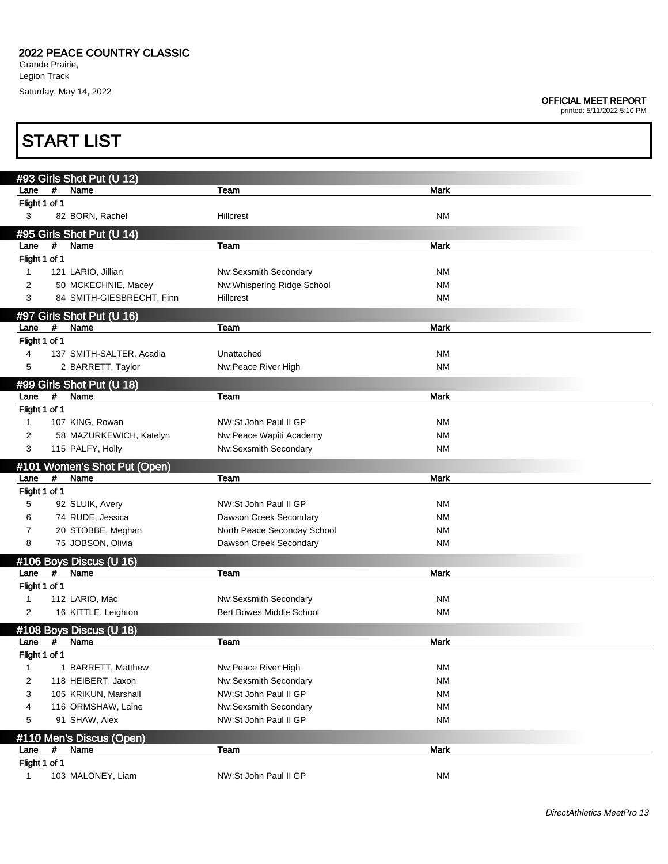## OFFICIAL MEET REPORT

|                               | <b>START LIST</b>                           |                                                       |                        |
|-------------------------------|---------------------------------------------|-------------------------------------------------------|------------------------|
|                               |                                             |                                                       |                        |
| Lane                          | #93 Girls Shot Put (U 12)<br>#<br>Name      | Team                                                  | <b>Mark</b>            |
| Flight 1 of 1                 |                                             |                                                       |                        |
| 3                             | 82 BORN, Rachel                             | <b>Hillcrest</b>                                      | <b>NM</b>              |
|                               | #95 Girls Shot Put (U 14)                   |                                                       |                        |
| Lane                          | #<br>Name                                   | Team                                                  | <b>Mark</b>            |
| Flight 1 of 1                 |                                             |                                                       |                        |
| $\mathbf{1}$                  | 121 LARIO, Jillian                          | Nw:Sexsmith Secondary                                 | <b>NM</b>              |
| 2                             | 50 MCKECHNIE, Macey                         | Nw: Whispering Ridge School                           | <b>NM</b>              |
| 3                             | 84 SMITH-GIESBRECHT, Finn                   | Hillcrest                                             | <b>NM</b>              |
|                               | #97 Girls Shot Put (U 16)                   |                                                       |                        |
| Lane                          | #<br>Name                                   | Team                                                  | <b>Mark</b>            |
| Flight 1 of 1                 |                                             |                                                       |                        |
| 4                             | 137 SMITH-SALTER, Acadia                    | Unattached                                            | <b>NM</b>              |
| 5                             | 2 BARRETT, Taylor                           | Nw:Peace River High                                   | <b>NM</b>              |
|                               | #99 Girls Shot Put (U 18)                   |                                                       |                        |
| Lane                          | #<br>Name                                   | Team                                                  | <b>Mark</b>            |
| Flight 1 of 1                 |                                             |                                                       |                        |
| $\mathbf{1}$                  | 107 KING, Rowan                             | NW:St John Paul II GP                                 | <b>NM</b>              |
| 2<br>3                        | 58 MAZURKEWICH, Katelyn<br>115 PALFY, Holly | Nw:Peace Wapiti Academy<br>Nw:Sexsmith Secondary      | <b>NM</b><br><b>NM</b> |
|                               |                                             |                                                       |                        |
| Lane                          | #101 Women's Shot Put (Open)<br>Name<br>#   | Team                                                  | <b>Mark</b>            |
|                               |                                             |                                                       |                        |
|                               |                                             |                                                       |                        |
| Flight 1 of 1<br>5            |                                             | NW:St John Paul II GP                                 |                        |
| 6                             | 92 SLUIK, Avery                             |                                                       | ΝM<br><b>NM</b>        |
| 7                             | 74 RUDE, Jessica<br>20 STOBBE, Meghan       | Dawson Creek Secondary<br>North Peace Seconday School | ΝM                     |
| 8                             | 75 JOBSON, Olivia                           | Dawson Creek Secondary                                | <b>NM</b>              |
|                               |                                             |                                                       |                        |
| Lane                          | #106 Boys Discus (U 16)<br>#<br>Name        | Team                                                  | <b>Mark</b>            |
| Flight 1 of 1                 |                                             |                                                       |                        |
| 1                             | 112 LARIO, Mac                              | Nw:Sexsmith Secondary                                 | <b>NM</b>              |
| 2                             | 16 KITTLE, Leighton                         | <b>Bert Bowes Middle School</b>                       | <b>NM</b>              |
|                               | #108 Boys Discus (U 18)                     |                                                       |                        |
| Lane                          | #<br>Name                                   | Team                                                  | <b>Mark</b>            |
| Flight 1 of 1                 |                                             |                                                       |                        |
| 1                             | 1 BARRETT, Matthew                          | Nw:Peace River High                                   | <b>NM</b>              |
| 2                             | 118 HEIBERT, Jaxon                          | Nw:Sexsmith Secondary                                 | <b>NM</b>              |
| 3                             | 105 KRIKUN, Marshall                        | NW:St John Paul II GP                                 | <b>NM</b>              |
| 4                             | 116 ORMSHAW, Laine                          | Nw:Sexsmith Secondary                                 | <b>NM</b>              |
| 5                             | 91 SHAW, Alex                               | NW:St John Paul II GP                                 | <b>NM</b>              |
|                               | #110 Men's Discus (Open)                    |                                                       |                        |
| Lane                          | #<br>Name                                   | Team                                                  | <b>Mark</b>            |
| Flight 1 of 1<br>$\mathbf{1}$ | 103 MALONEY, Liam                           | NW:St John Paul II GP                                 | <b>NM</b>              |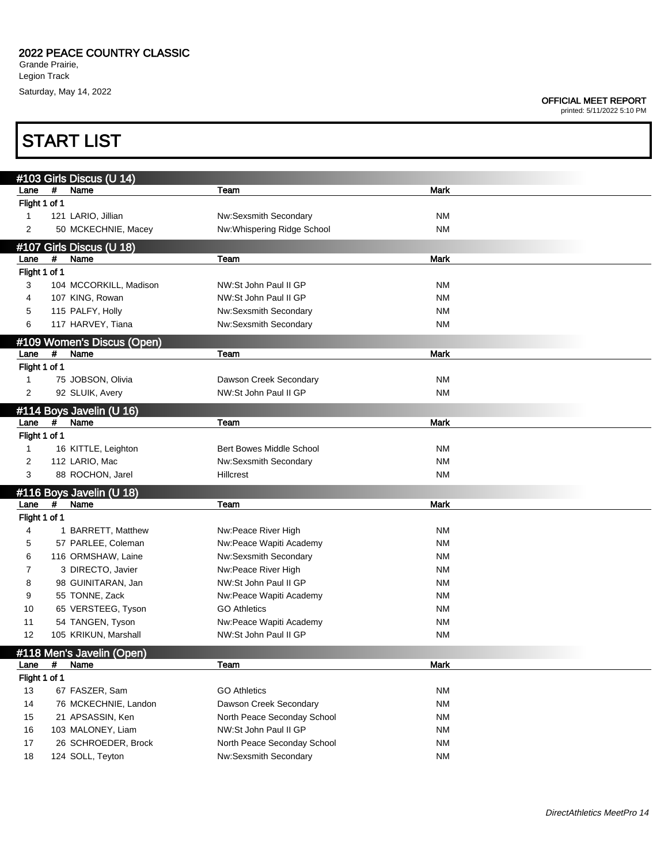START LIST

### OFFICIAL MEET REPORT

|                            |      | #103 Girls Discus (U 14)                 |                                                  |                        |  |
|----------------------------|------|------------------------------------------|--------------------------------------------------|------------------------|--|
| Lane                       | #    | Name                                     | Team                                             | Mark                   |  |
| Flight 1 of 1              |      |                                          |                                                  |                        |  |
| 1                          |      | 121 LARIO, Jillian                       | Nw:Sexsmith Secondary                            | <b>NM</b>              |  |
| 2                          |      | 50 MCKECHNIE, Macey                      | Nw:Whispering Ridge School                       | <b>NM</b>              |  |
|                            |      | #107 Girls Discus (U 18)                 |                                                  |                        |  |
| Lane                       | #    | Name                                     | Team                                             | <b>Mark</b>            |  |
| Flight 1 of 1              |      |                                          |                                                  |                        |  |
| 3                          |      | 104 MCCORKILL, Madison                   | NW:St John Paul II GP                            | <b>NM</b>              |  |
| 4                          |      | 107 KING, Rowan                          | NW:St John Paul II GP                            | <b>NM</b>              |  |
| 5                          |      | 115 PALFY, Holly                         | Nw:Sexsmith Secondary                            | <b>NM</b>              |  |
| 6                          |      | 117 HARVEY, Tiana                        | Nw:Sexsmith Secondary                            | <b>NM</b>              |  |
| #109 Women's Discus (Open) |      |                                          |                                                  |                        |  |
| Lane                       | #    | Name                                     | Team                                             | <b>Mark</b>            |  |
| Flight 1 of 1              |      |                                          |                                                  |                        |  |
| 1                          |      | 75 JOBSON, Olivia                        | Dawson Creek Secondary                           | <b>NM</b>              |  |
| 2                          |      | 92 SLUIK, Avery                          | NW:St John Paul II GP                            | <b>NM</b>              |  |
|                            |      | #114 Boys Javelin (U 16)                 |                                                  |                        |  |
| Lane                       | $\#$ | Name                                     | Team                                             | <b>Mark</b>            |  |
| Flight 1 of 1              |      |                                          |                                                  |                        |  |
| $\mathbf{1}$               |      | 16 KITTLE, Leighton                      | <b>Bert Bowes Middle School</b>                  | <b>NM</b>              |  |
| 2                          |      | 112 LARIO, Mac                           | Nw:Sexsmith Secondary                            | <b>NM</b>              |  |
| 3                          |      | 88 ROCHON, Jarel                         | Hillcrest                                        | <b>NM</b>              |  |
|                            |      | #116 Boys Javelin (U 18)                 |                                                  |                        |  |
| Lane                       | #    | Name                                     | Team                                             | Mark                   |  |
| Flight 1 of 1              |      |                                          |                                                  |                        |  |
| 4                          |      | 1 BARRETT, Matthew                       | Nw:Peace River High                              | <b>NM</b>              |  |
| 5                          |      | 57 PARLEE, Coleman<br>116 ORMSHAW, Laine | Nw:Peace Wapiti Academy<br>Nw:Sexsmith Secondary | <b>NM</b><br><b>NM</b> |  |
| 6<br>7                     |      | 3 DIRECTO, Javier                        | Nw:Peace River High                              | <b>NM</b>              |  |
| 8                          |      | 98 GUINITARAN, Jan                       | NW:St John Paul II GP                            | <b>NM</b>              |  |
| 9                          |      | 55 TONNE, Zack                           | Nw:Peace Wapiti Academy                          | <b>NM</b>              |  |
| 10                         |      | 65 VERSTEEG, Tyson                       | <b>GO Athletics</b>                              | <b>NM</b>              |  |
| 11                         |      | 54 TANGEN, Tyson                         | Nw:Peace Wapiti Academy                          | <b>NM</b>              |  |
| 12                         |      | 105 KRIKUN, Marshall                     | NW:St John Paul II GP                            | <b>NM</b>              |  |
|                            |      |                                          |                                                  |                        |  |
| Lane                       | #    | #118 Men's Javelin (Open)<br>Name        | Team                                             | <b>Mark</b>            |  |
| Flight 1 of 1              |      |                                          |                                                  |                        |  |
| 13                         |      | 67 FASZER, Sam                           | <b>GO Athletics</b>                              | <b>NM</b>              |  |
| 14                         |      | 76 MCKECHNIE, Landon                     | Dawson Creek Secondary                           | <b>NM</b>              |  |
| 15                         |      | 21 APSASSIN, Ken                         | North Peace Seconday School                      | <b>NM</b>              |  |
| 16                         |      | 103 MALONEY, Liam                        | NW:St John Paul II GP                            | <b>NM</b>              |  |
| 17                         |      | 26 SCHROEDER, Brock                      | North Peace Seconday School                      | <b>NM</b>              |  |
| 18                         |      | 124 SOLL, Teyton                         | Nw:Sexsmith Secondary                            | <b>NM</b>              |  |